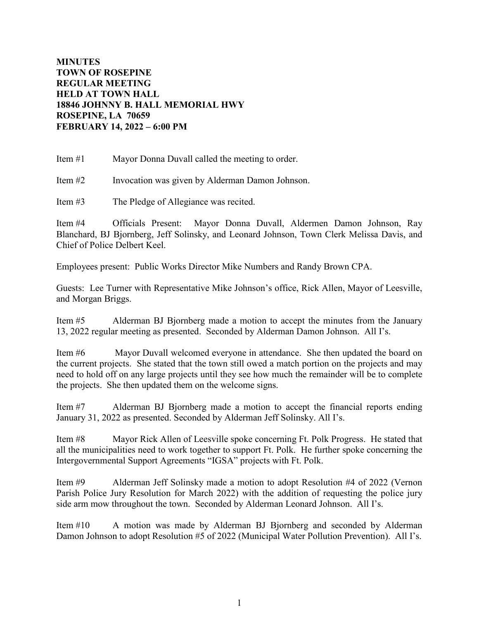## **MINUTES TOWN OF ROSEPINE REGULAR MEETING HELD AT TOWN HALL 18846 JOHNNY B. HALL MEMORIAL HWY ROSEPINE, LA 70659 FEBRUARY 14, 2022 – 6:00 PM**

Item #1 Mayor Donna Duvall called the meeting to order.

Item #2 Invocation was given by Alderman Damon Johnson.

Item #3 The Pledge of Allegiance was recited.

Item #4 Officials Present: Mayor Donna Duvall, Aldermen Damon Johnson, Ray Blanchard, BJ Bjornberg, Jeff Solinsky, and Leonard Johnson, Town Clerk Melissa Davis, and Chief of Police Delbert Keel.

Employees present: Public Works Director Mike Numbers and Randy Brown CPA.

Guests: Lee Turner with Representative Mike Johnson's office, Rick Allen, Mayor of Leesville, and Morgan Briggs.

Item #5 Alderman BJ Bjornberg made a motion to accept the minutes from the January 13, 2022 regular meeting as presented. Seconded by Alderman Damon Johnson. All I's.

Item #6 Mayor Duvall welcomed everyone in attendance. She then updated the board on the current projects. She stated that the town still owed a match portion on the projects and may need to hold off on any large projects until they see how much the remainder will be to complete the projects. She then updated them on the welcome signs.

Item #7 Alderman BJ Bjornberg made a motion to accept the financial reports ending January 31, 2022 as presented. Seconded by Alderman Jeff Solinsky. All I's.

Item #8 Mayor Rick Allen of Leesville spoke concerning Ft. Polk Progress. He stated that all the municipalities need to work together to support Ft. Polk. He further spoke concerning the Intergovernmental Support Agreements "IGSA" projects with Ft. Polk.

Item #9 Alderman Jeff Solinsky made a motion to adopt Resolution #4 of 2022 (Vernon Parish Police Jury Resolution for March 2022) with the addition of requesting the police jury side arm mow throughout the town. Seconded by Alderman Leonard Johnson. All I's.

Item #10 A motion was made by Alderman BJ Bjornberg and seconded by Alderman Damon Johnson to adopt Resolution #5 of 2022 (Municipal Water Pollution Prevention). All I's.